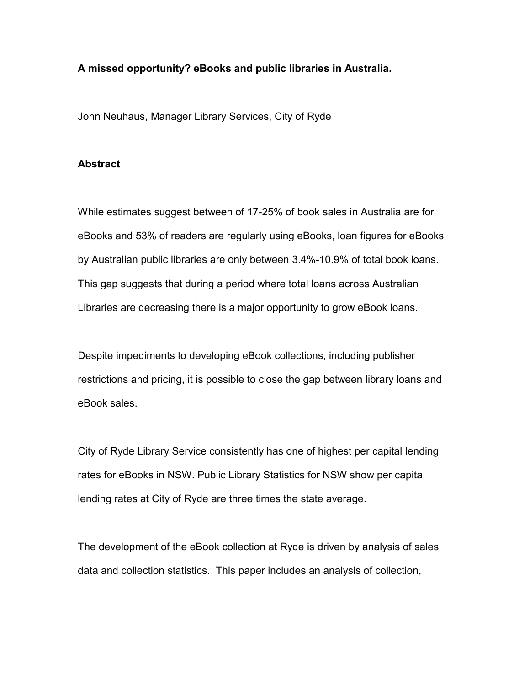# **A missed opportunity? eBooks and public libraries in Australia.**

John Neuhaus, Manager Library Services, City of Ryde

# **Abstract**

While estimates suggest between of 17-25% of book sales in Australia are for eBooks and 53% of readers are regularly using eBooks, loan figures for eBooks by Australian public libraries are only between 3.4%-10.9% of total book loans. This gap suggests that during a period where total loans across Australian Libraries are decreasing there is a major opportunity to grow eBook loans.

Despite impediments to developing eBook collections, including publisher restrictions and pricing, it is possible to close the gap between library loans and eBook sales.

City of Ryde Library Service consistently has one of highest per capital lending rates for eBooks in NSW. Public Library Statistics for NSW show per capita lending rates at City of Ryde are three times the state average.

The development of the eBook collection at Ryde is driven by analysis of sales data and collection statistics. This paper includes an analysis of collection,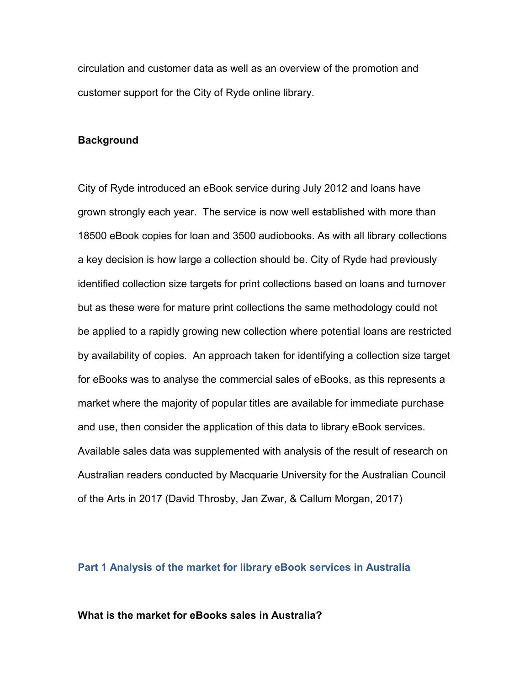circulation and customer data as well as an overview of the promotion and customer support for the City of Ryde online library.

#### **Background**

City of Ryde introduced an eBook service during July 2012 and loans have grown strongly each year. The service is now well established with more than 18500 eBook copies for loan and 3500 audiobooks. As with all library collections a key decision is how large a collection should be. City of Ryde had previously identified collection size targets for print collections based on loans and turnover but as these were for mature print collections the same methodology could not be applied to a rapidly growing new collection where potential loans are restricted by availability of copies. An approach taken for identifying a collection size target for eBooks was to analyse the commercial sales of eBooks, as this represents a market where the majority of popular titles are available for immediate purchase and use, then consider the application of this data to library eBook services. Available sales data was supplemented with analysis of the result of research on Australian readers conducted by Macquarie University for the Australian Council of the Arts in 2017 (David Throsby, Jan Zwar, & Callum Morgan, 2017)

## **Part 1 Analysis of the market for library eBook services in Australia**

## **What is the market for eBooks sales in Australia?**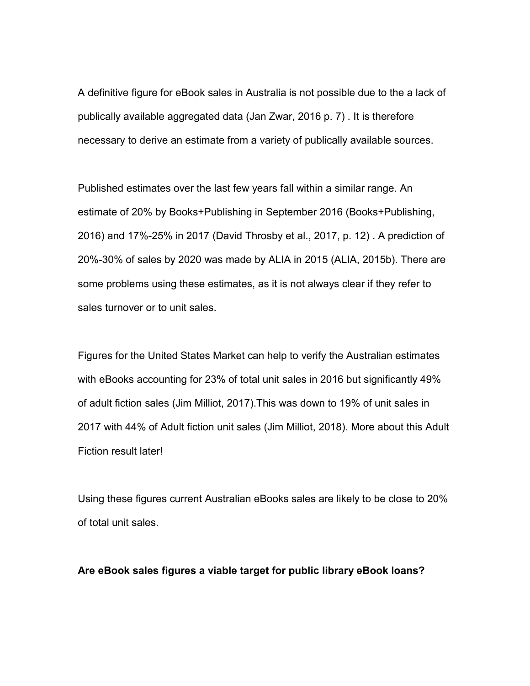A definitive figure for eBook sales in Australia is not possible due to the a lack of publically available aggregated data (Jan Zwar, 2016 p. 7) . It is therefore necessary to derive an estimate from a variety of publically available sources.

Published estimates over the last few years fall within a similar range. An estimate of 20% by Books+Publishing in September 2016 (Books+Publishing, 2016) and 17%-25% in 2017 (David Throsby et al., 2017, p. 12) . A prediction of 20%-30% of sales by 2020 was made by ALIA in 2015 (ALIA, 2015b). There are some problems using these estimates, as it is not always clear if they refer to sales turnover or to unit sales.

Figures for the United States Market can help to verify the Australian estimates with eBooks accounting for 23% of total unit sales in 2016 but significantly 49% of adult fiction sales (Jim Milliot, 2017).This was down to 19% of unit sales in 2017 with 44% of Adult fiction unit sales (Jim Milliot, 2018). More about this Adult Fiction result later!

Using these figures current Australian eBooks sales are likely to be close to 20% of total unit sales.

## **Are eBook sales figures a viable target for public library eBook loans?**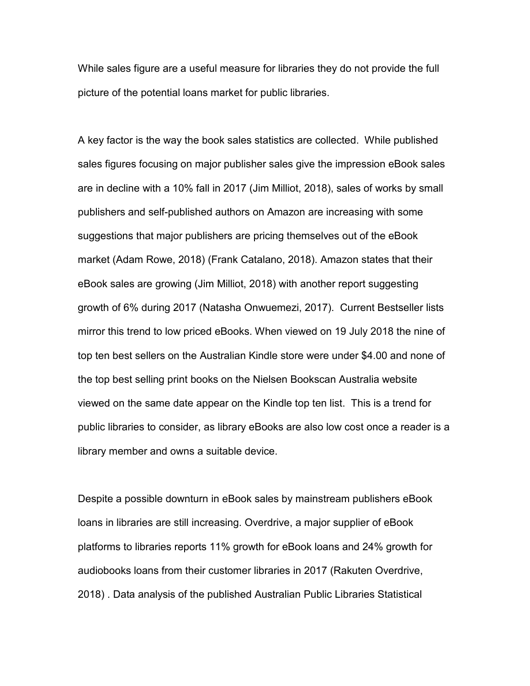While sales figure are a useful measure for libraries they do not provide the full picture of the potential loans market for public libraries.

A key factor is the way the book sales statistics are collected. While published sales figures focusing on major publisher sales give the impression eBook sales are in decline with a 10% fall in 2017 (Jim Milliot, 2018), sales of works by small publishers and self-published authors on Amazon are increasing with some suggestions that major publishers are pricing themselves out of the eBook market (Adam Rowe, 2018) (Frank Catalano, 2018). Amazon states that their eBook sales are growing (Jim Milliot, 2018) with another report suggesting growth of 6% during 2017 (Natasha Onwuemezi, 2017). Current Bestseller lists mirror this trend to low priced eBooks. When viewed on 19 July 2018 the nine of top ten best sellers on the Australian Kindle store were under \$4.00 and none of the top best selling print books on the Nielsen Bookscan Australia website viewed on the same date appear on the Kindle top ten list. This is a trend for public libraries to consider, as library eBooks are also low cost once a reader is a library member and owns a suitable device.

Despite a possible downturn in eBook sales by mainstream publishers eBook loans in libraries are still increasing. Overdrive, a major supplier of eBook platforms to libraries reports 11% growth for eBook loans and 24% growth for audiobooks loans from their customer libraries in 2017 (Rakuten Overdrive, 2018) . Data analysis of the published Australian Public Libraries Statistical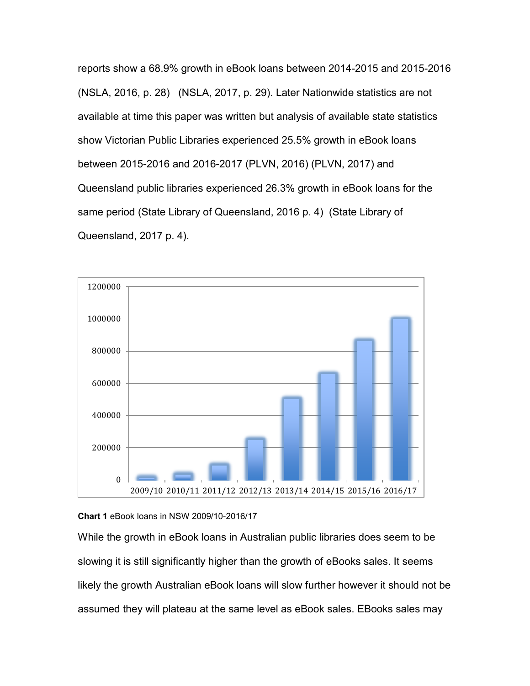reports show a 68.9% growth in eBook loans between 2014-2015 and 2015-2016 (NSLA, 2016, p. 28) (NSLA, 2017, p. 29). Later Nationwide statistics are not available at time this paper was written but analysis of available state statistics show Victorian Public Libraries experienced 25.5% growth in eBook loans between 2015-2016 and 2016-2017 (PLVN, 2016) (PLVN, 2017) and Queensland public libraries experienced 26.3% growth in eBook loans for the same period (State Library of Queensland, 2016 p. 4) (State Library of Queensland, 2017 p. 4).



## **Chart 1** eBook loans in NSW 2009/10-2016/17

While the growth in eBook loans in Australian public libraries does seem to be slowing it is still significantly higher than the growth of eBooks sales. It seems likely the growth Australian eBook loans will slow further however it should not be assumed they will plateau at the same level as eBook sales. EBooks sales may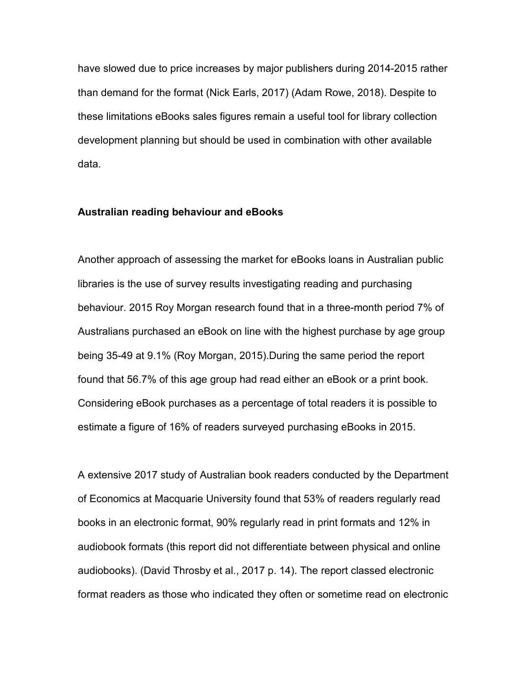have slowed due to price increases by major publishers during 2014-2015 rather than demand for the format (Nick Earls, 2017) (Adam Rowe, 2018). Despite to these limitations eBooks sales figures remain a useful tool for library collection development planning but should be used in combination with other available data.

## **Australian reading behaviour and eBooks**

Another approach of assessing the market for eBooks loans in Australian public libraries is the use of survey results investigating reading and purchasing behaviour. 2015 Roy Morgan research found that in a three-month period 7% of Australians purchased an eBook on line with the highest purchase by age group being 35-49 at 9.1% (Roy Morgan, 2015).During the same period the report found that 56.7% of this age group had read either an eBook or a print book. Considering eBook purchases as a percentage of total readers it is possible to estimate a figure of 16% of readers surveyed purchasing eBooks in 2015.

A extensive 2017 study of Australian book readers conducted by the Department of Economics at Macquarie University found that 53% of readers regularly read books in an electronic format, 90% regularly read in print formats and 12% in audiobook formats (this report did not differentiate between physical and online audiobooks). (David Throsby et al., 2017 p. 14). The report classed electronic format readers as those who indicated they often or sometime read on electronic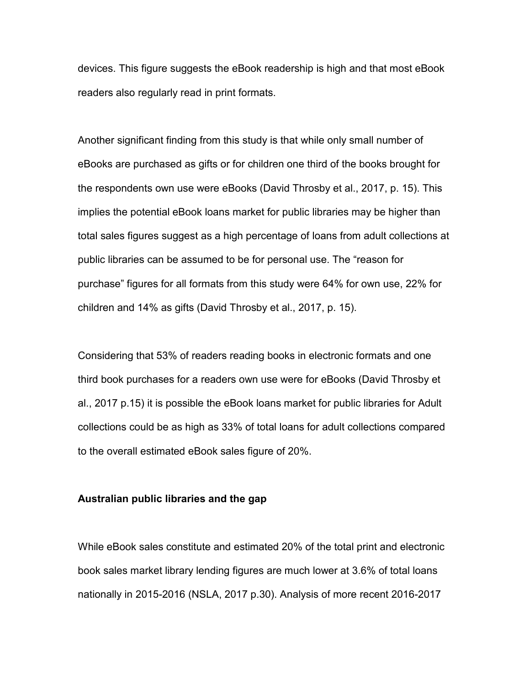devices. This figure suggests the eBook readership is high and that most eBook readers also regularly read in print formats.

Another significant finding from this study is that while only small number of eBooks are purchased as gifts or for children one third of the books brought for the respondents own use were eBooks (David Throsby et al., 2017, p. 15). This implies the potential eBook loans market for public libraries may be higher than total sales figures suggest as a high percentage of loans from adult collections at public libraries can be assumed to be for personal use. The "reason for purchase" figures for all formats from this study were 64% for own use, 22% for children and 14% as gifts (David Throsby et al., 2017, p. 15).

Considering that 53% of readers reading books in electronic formats and one third book purchases for a readers own use were for eBooks (David Throsby et al., 2017 p.15) it is possible the eBook loans market for public libraries for Adult collections could be as high as 33% of total loans for adult collections compared to the overall estimated eBook sales figure of 20%.

## **Australian public libraries and the gap**

While eBook sales constitute and estimated 20% of the total print and electronic book sales market library lending figures are much lower at 3.6% of total loans nationally in 2015-2016 (NSLA, 2017 p.30). Analysis of more recent 2016-2017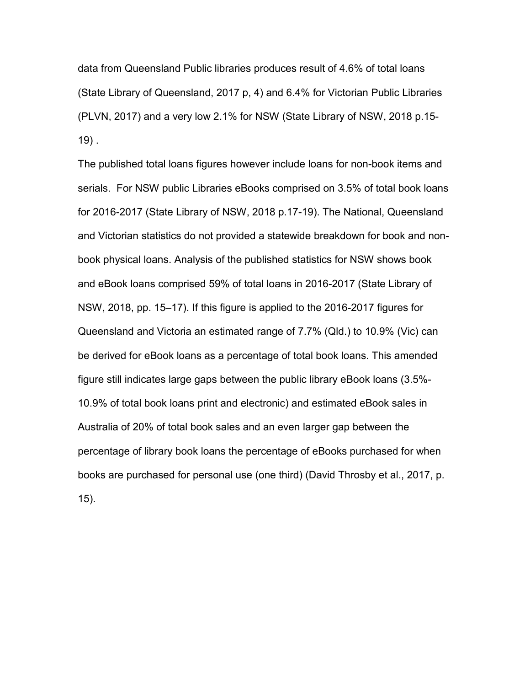data from Queensland Public libraries produces result of 4.6% of total loans (State Library of Queensland, 2017 p, 4) and 6.4% for Victorian Public Libraries (PLVN, 2017) and a very low 2.1% for NSW (State Library of NSW, 2018 p.15-  $19$ ).

The published total loans figures however include loans for non-book items and serials. For NSW public Libraries eBooks comprised on 3.5% of total book loans for 2016-2017 (State Library of NSW, 2018 p.17-19). The National, Queensland and Victorian statistics do not provided a statewide breakdown for book and nonbook physical loans. Analysis of the published statistics for NSW shows book and eBook loans comprised 59% of total loans in 2016-2017 (State Library of NSW, 2018, pp. 15–17). If this figure is applied to the 2016-2017 figures for Queensland and Victoria an estimated range of 7.7% (Qld.) to 10.9% (Vic) can be derived for eBook loans as a percentage of total book loans. This amended figure still indicates large gaps between the public library eBook loans (3.5%- 10.9% of total book loans print and electronic) and estimated eBook sales in Australia of 20% of total book sales and an even larger gap between the percentage of library book loans the percentage of eBooks purchased for when books are purchased for personal use (one third) (David Throsby et al., 2017, p. 15).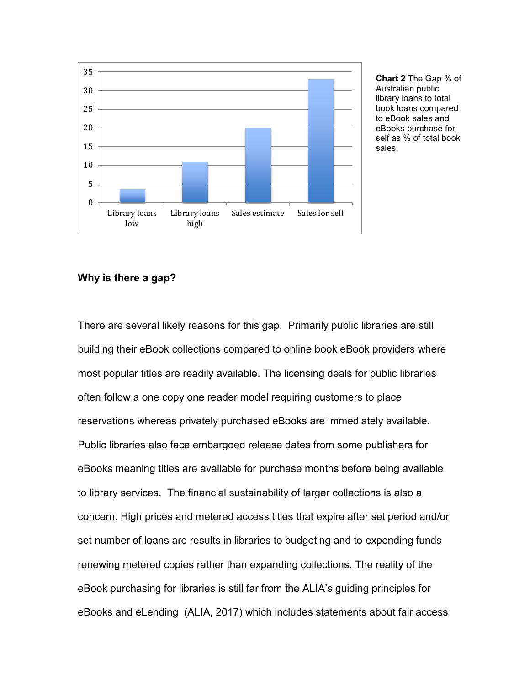

**Chart 2** The Gap % of Australian public library loans to total book loans compared to eBook sales and eBooks purchase for self as % of total book sales.

# **Why is there a gap?**

There are several likely reasons for this gap. Primarily public libraries are still building their eBook collections compared to online book eBook providers where most popular titles are readily available. The licensing deals for public libraries often follow a one copy one reader model requiring customers to place reservations whereas privately purchased eBooks are immediately available. Public libraries also face embargoed release dates from some publishers for eBooks meaning titles are available for purchase months before being available to library services. The financial sustainability of larger collections is also a concern. High prices and metered access titles that expire after set period and/or set number of loans are results in libraries to budgeting and to expending funds renewing metered copies rather than expanding collections. The reality of the eBook purchasing for libraries is still far from the ALIA's guiding principles for eBooks and eLending (ALIA, 2017) which includes statements about fair access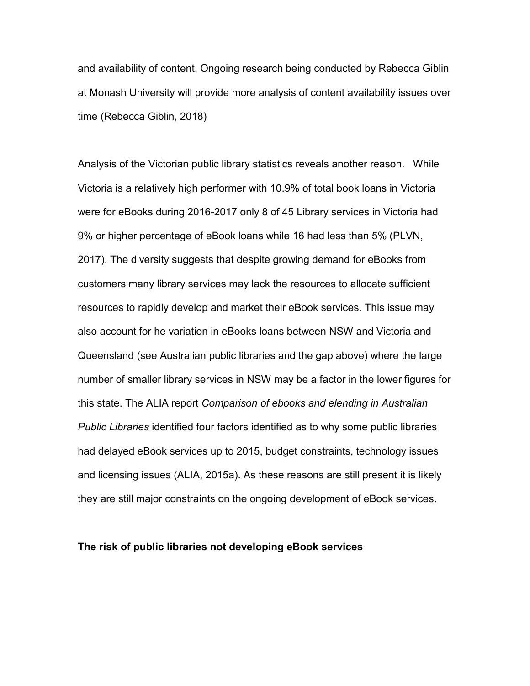and availability of content. Ongoing research being conducted by Rebecca Giblin at Monash University will provide more analysis of content availability issues over time (Rebecca Giblin, 2018)

Analysis of the Victorian public library statistics reveals another reason. While Victoria is a relatively high performer with 10.9% of total book loans in Victoria were for eBooks during 2016-2017 only 8 of 45 Library services in Victoria had 9% or higher percentage of eBook loans while 16 had less than 5% (PLVN, 2017). The diversity suggests that despite growing demand for eBooks from customers many library services may lack the resources to allocate sufficient resources to rapidly develop and market their eBook services. This issue may also account for he variation in eBooks loans between NSW and Victoria and Queensland (see Australian public libraries and the gap above) where the large number of smaller library services in NSW may be a factor in the lower figures for this state. The ALIA report *Comparison of ebooks and elending in Australian Public Libraries* identified four factors identified as to why some public libraries had delayed eBook services up to 2015, budget constraints, technology issues and licensing issues (ALIA, 2015a). As these reasons are still present it is likely they are still major constraints on the ongoing development of eBook services.

## **The risk of public libraries not developing eBook services**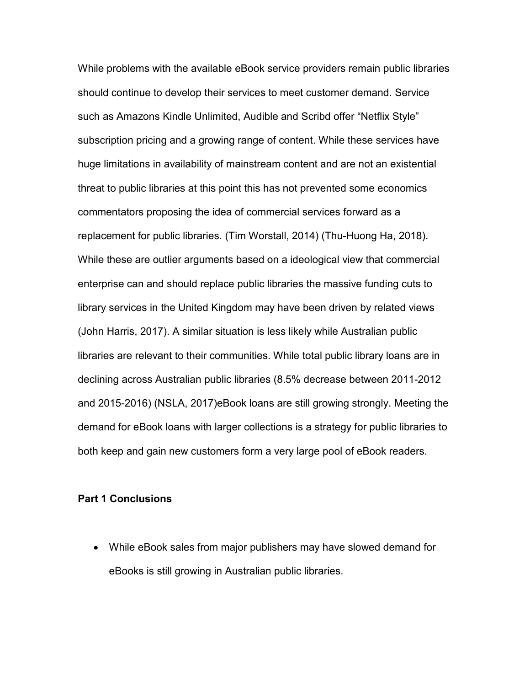While problems with the available eBook service providers remain public libraries should continue to develop their services to meet customer demand. Service such as Amazons Kindle Unlimited, Audible and Scribd offer "Netflix Style" subscription pricing and a growing range of content. While these services have huge limitations in availability of mainstream content and are not an existential threat to public libraries at this point this has not prevented some economics commentators proposing the idea of commercial services forward as a replacement for public libraries. (Tim Worstall, 2014) (Thu-Huong Ha, 2018). While these are outlier arguments based on a ideological view that commercial enterprise can and should replace public libraries the massive funding cuts to library services in the United Kingdom may have been driven by related views (John Harris, 2017). A similar situation is less likely while Australian public libraries are relevant to their communities. While total public library loans are in declining across Australian public libraries (8.5% decrease between 2011-2012 and 2015-2016) (NSLA, 2017)eBook loans are still growing strongly. Meeting the demand for eBook loans with larger collections is a strategy for public libraries to both keep and gain new customers form a very large pool of eBook readers.

#### **Part 1 Conclusions**

• While eBook sales from major publishers may have slowed demand for eBooks is still growing in Australian public libraries.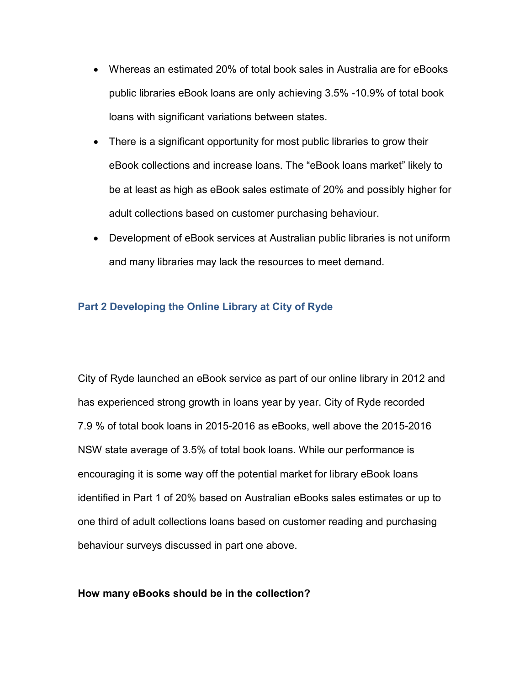- Whereas an estimated 20% of total book sales in Australia are for eBooks public libraries eBook loans are only achieving 3.5% -10.9% of total book loans with significant variations between states.
- There is a significant opportunity for most public libraries to grow their eBook collections and increase loans. The "eBook loans market" likely to be at least as high as eBook sales estimate of 20% and possibly higher for adult collections based on customer purchasing behaviour.
- Development of eBook services at Australian public libraries is not uniform and many libraries may lack the resources to meet demand.

# **Part 2 Developing the Online Library at City of Ryde**

City of Ryde launched an eBook service as part of our online library in 2012 and has experienced strong growth in loans year by year. City of Ryde recorded 7.9 % of total book loans in 2015-2016 as eBooks, well above the 2015-2016 NSW state average of 3.5% of total book loans. While our performance is encouraging it is some way off the potential market for library eBook loans identified in Part 1 of 20% based on Australian eBooks sales estimates or up to one third of adult collections loans based on customer reading and purchasing behaviour surveys discussed in part one above.

## **How many eBooks should be in the collection?**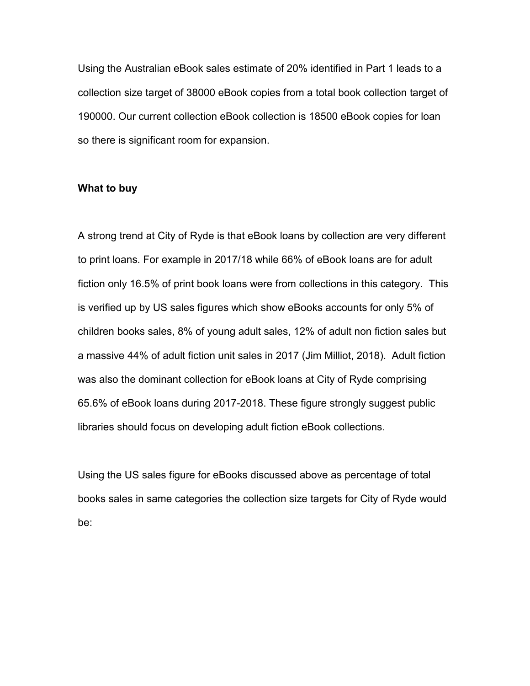Using the Australian eBook sales estimate of 20% identified in Part 1 leads to a collection size target of 38000 eBook copies from a total book collection target of 190000. Our current collection eBook collection is 18500 eBook copies for loan so there is significant room for expansion.

## **What to buy**

A strong trend at City of Ryde is that eBook loans by collection are very different to print loans. For example in 2017/18 while 66% of eBook loans are for adult fiction only 16.5% of print book loans were from collections in this category. This is verified up by US sales figures which show eBooks accounts for only 5% of children books sales, 8% of young adult sales, 12% of adult non fiction sales but a massive 44% of adult fiction unit sales in 2017 (Jim Milliot, 2018). Adult fiction was also the dominant collection for eBook loans at City of Ryde comprising 65.6% of eBook loans during 2017-2018. These figure strongly suggest public libraries should focus on developing adult fiction eBook collections.

Using the US sales figure for eBooks discussed above as percentage of total books sales in same categories the collection size targets for City of Ryde would be: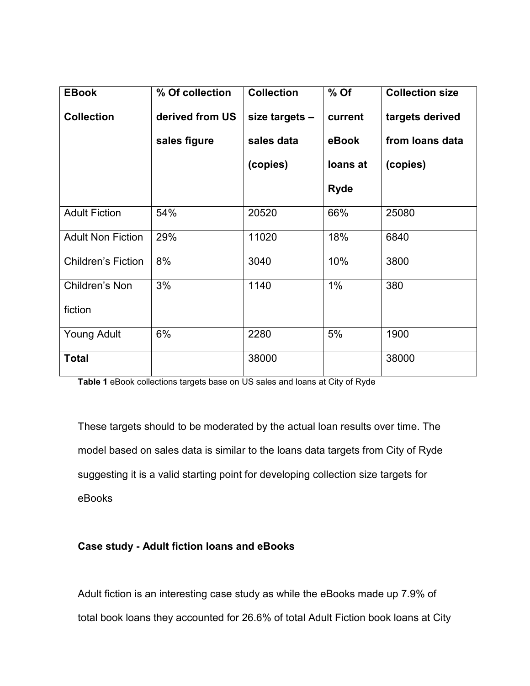| <b>EBook</b>              | % Of collection | <b>Collection</b> | $%$ Of      | <b>Collection size</b> |
|---------------------------|-----------------|-------------------|-------------|------------------------|
| <b>Collection</b>         | derived from US | size targets -    | current     | targets derived        |
|                           | sales figure    | sales data        | eBook       | from loans data        |
|                           |                 | (copies)          | loans at    | (copies)               |
|                           |                 |                   | <b>Ryde</b> |                        |
| <b>Adult Fiction</b>      | 54%             | 20520             | 66%         | 25080                  |
| <b>Adult Non Fiction</b>  | 29%             | 11020             | 18%         | 6840                   |
| <b>Children's Fiction</b> | 8%              | 3040              | 10%         | 3800                   |
| Children's Non            | 3%              | 1140              | 1%          | 380                    |
| fiction                   |                 |                   |             |                        |
| Young Adult               | 6%              | 2280              | 5%          | 1900                   |
| <b>Total</b>              |                 | 38000             |             | 38000                  |

**Table 1** eBook collections targets base on US sales and loans at City of Ryde

These targets should to be moderated by the actual loan results over time. The model based on sales data is similar to the loans data targets from City of Ryde suggesting it is a valid starting point for developing collection size targets for eBooks

# **Case study - Adult fiction loans and eBooks**

Adult fiction is an interesting case study as while the eBooks made up 7.9% of total book loans they accounted for 26.6% of total Adult Fiction book loans at City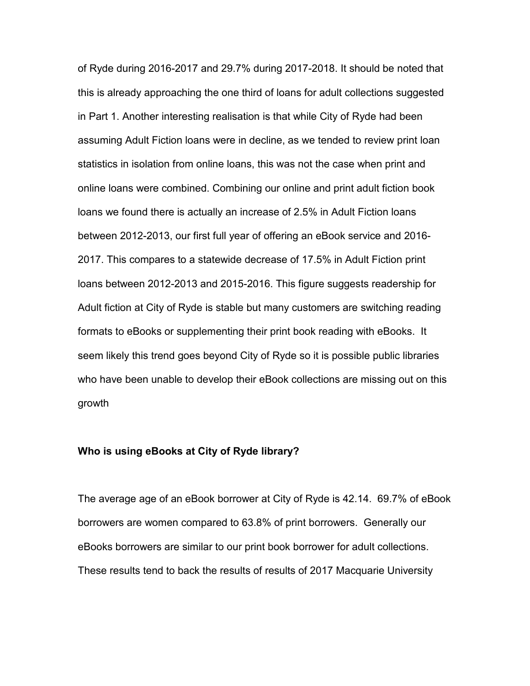of Ryde during 2016-2017 and 29.7% during 2017-2018. It should be noted that this is already approaching the one third of loans for adult collections suggested in Part 1. Another interesting realisation is that while City of Ryde had been assuming Adult Fiction loans were in decline, as we tended to review print loan statistics in isolation from online loans, this was not the case when print and online loans were combined. Combining our online and print adult fiction book loans we found there is actually an increase of 2.5% in Adult Fiction loans between 2012-2013, our first full year of offering an eBook service and 2016- 2017. This compares to a statewide decrease of 17.5% in Adult Fiction print loans between 2012-2013 and 2015-2016. This figure suggests readership for Adult fiction at City of Ryde is stable but many customers are switching reading formats to eBooks or supplementing their print book reading with eBooks. It seem likely this trend goes beyond City of Ryde so it is possible public libraries who have been unable to develop their eBook collections are missing out on this growth

#### **Who is using eBooks at City of Ryde library?**

The average age of an eBook borrower at City of Ryde is 42.14. 69.7% of eBook borrowers are women compared to 63.8% of print borrowers. Generally our eBooks borrowers are similar to our print book borrower for adult collections. These results tend to back the results of results of 2017 Macquarie University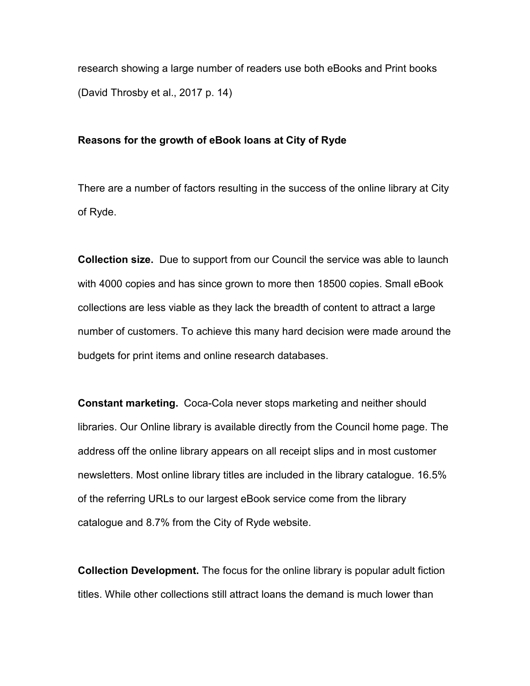research showing a large number of readers use both eBooks and Print books (David Throsby et al., 2017 p. 14)

#### **Reasons for the growth of eBook loans at City of Ryde**

There are a number of factors resulting in the success of the online library at City of Ryde.

**Collection size.** Due to support from our Council the service was able to launch with 4000 copies and has since grown to more then 18500 copies. Small eBook collections are less viable as they lack the breadth of content to attract a large number of customers. To achieve this many hard decision were made around the budgets for print items and online research databases.

**Constant marketing.** Coca-Cola never stops marketing and neither should libraries. Our Online library is available directly from the Council home page. The address off the online library appears on all receipt slips and in most customer newsletters. Most online library titles are included in the library catalogue. 16.5% of the referring URLs to our largest eBook service come from the library catalogue and 8.7% from the City of Ryde website.

**Collection Development.** The focus for the online library is popular adult fiction titles. While other collections still attract loans the demand is much lower than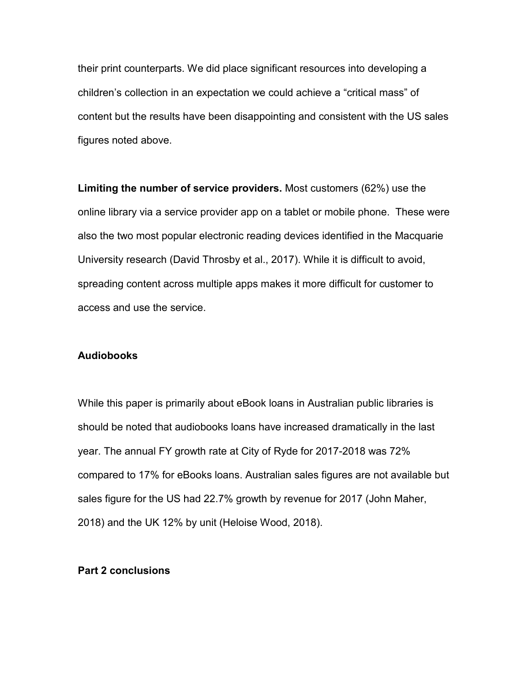their print counterparts. We did place significant resources into developing a children's collection in an expectation we could achieve a "critical mass" of content but the results have been disappointing and consistent with the US sales figures noted above.

**Limiting the number of service providers.** Most customers (62%) use the online library via a service provider app on a tablet or mobile phone. These were also the two most popular electronic reading devices identified in the Macquarie University research (David Throsby et al., 2017). While it is difficult to avoid, spreading content across multiple apps makes it more difficult for customer to access and use the service.

#### **Audiobooks**

While this paper is primarily about eBook loans in Australian public libraries is should be noted that audiobooks loans have increased dramatically in the last year. The annual FY growth rate at City of Ryde for 2017-2018 was 72% compared to 17% for eBooks loans. Australian sales figures are not available but sales figure for the US had 22.7% growth by revenue for 2017 (John Maher, 2018) and the UK 12% by unit (Heloise Wood, 2018).

## **Part 2 conclusions**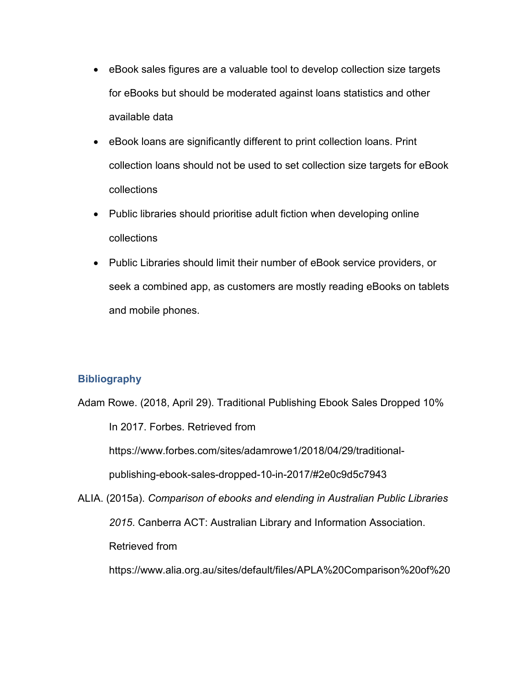- eBook sales figures are a valuable tool to develop collection size targets for eBooks but should be moderated against loans statistics and other available data
- eBook loans are significantly different to print collection loans. Print collection loans should not be used to set collection size targets for eBook collections
- Public libraries should prioritise adult fiction when developing online collections
- Public Libraries should limit their number of eBook service providers, or seek a combined app, as customers are mostly reading eBooks on tablets and mobile phones.

# **Bibliography**

Adam Rowe. (2018, April 29). Traditional Publishing Ebook Sales Dropped 10% In 2017. Forbes. Retrieved from https://www.forbes.com/sites/adamrowe1/2018/04/29/traditionalpublishing-ebook-sales-dropped-10-in-2017/#2e0c9d5c7943 ALIA. (2015a). *Comparison of ebooks and elending in Australian Public Libraries 2015*. Canberra ACT: Australian Library and Information Association. Retrieved from https://www.alia.org.au/sites/default/files/APLA%20Comparison%20of%20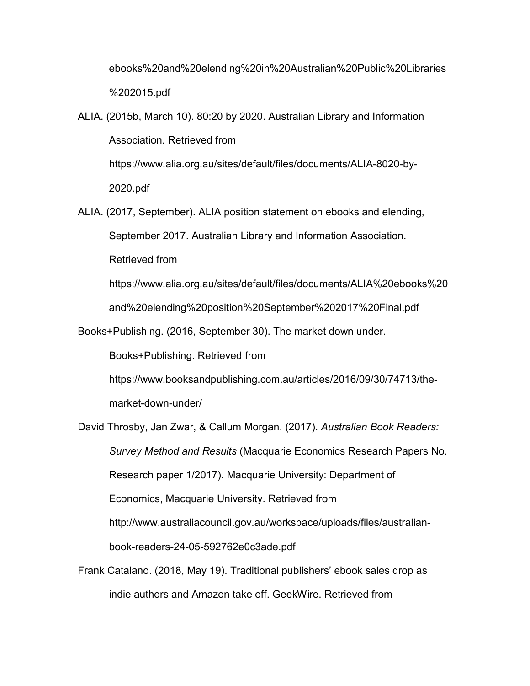ebooks%20and%20elending%20in%20Australian%20Public%20Libraries %202015.pdf

- ALIA. (2015b, March 10). 80:20 by 2020. Australian Library and Information Association. Retrieved from https://www.alia.org.au/sites/default/files/documents/ALIA-8020-by-2020.pdf
- ALIA. (2017, September). ALIA position statement on ebooks and elending, September 2017. Australian Library and Information Association. Retrieved from

https://www.alia.org.au/sites/default/files/documents/ALIA%20ebooks%20 and%20elending%20position%20September%202017%20Final.pdf

Books+Publishing. (2016, September 30). The market down under.

Books+Publishing. Retrieved from

https://www.booksandpublishing.com.au/articles/2016/09/30/74713/themarket-down-under/

David Throsby, Jan Zwar, & Callum Morgan. (2017). *Australian Book Readers: Survey Method and Results* (Macquarie Economics Research Papers No. Research paper 1/2017). Macquarie University: Department of Economics, Macquarie University. Retrieved from http://www.australiacouncil.gov.au/workspace/uploads/files/australianbook-readers-24-05-592762e0c3ade.pdf

Frank Catalano. (2018, May 19). Traditional publishers' ebook sales drop as indie authors and Amazon take off. GeekWire. Retrieved from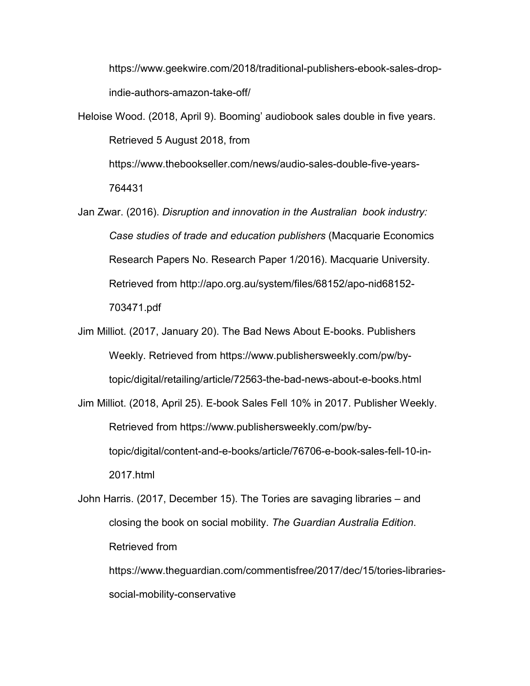https://www.geekwire.com/2018/traditional-publishers-ebook-sales-dropindie-authors-amazon-take-off/

Heloise Wood. (2018, April 9). Booming' audiobook sales double in five years. Retrieved 5 August 2018, from

https://www.thebookseller.com/news/audio-sales-double-five-years-764431

Jan Zwar. (2016). *Disruption and innovation in the Australian book industry: Case studies of trade and education publishers* (Macquarie Economics Research Papers No. Research Paper 1/2016). Macquarie University. Retrieved from http://apo.org.au/system/files/68152/apo-nid68152- 703471.pdf

Jim Milliot. (2017, January 20). The Bad News About E-books. Publishers Weekly. Retrieved from https://www.publishersweekly.com/pw/bytopic/digital/retailing/article/72563-the-bad-news-about-e-books.html

Jim Milliot. (2018, April 25). E-book Sales Fell 10% in 2017. Publisher Weekly. Retrieved from https://www.publishersweekly.com/pw/bytopic/digital/content-and-e-books/article/76706-e-book-sales-fell-10-in-2017.html

John Harris. (2017, December 15). The Tories are savaging libraries – and closing the book on social mobility. *The Guardian Australia Edition*. Retrieved from

https://www.theguardian.com/commentisfree/2017/dec/15/tories-librariessocial-mobility-conservative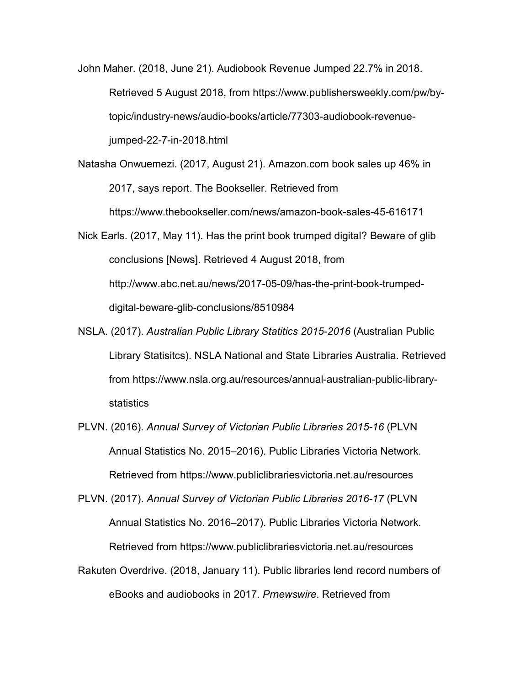John Maher. (2018, June 21). Audiobook Revenue Jumped 22.7% in 2018. Retrieved 5 August 2018, from https://www.publishersweekly.com/pw/bytopic/industry-news/audio-books/article/77303-audiobook-revenuejumped-22-7-in-2018.html

- Natasha Onwuemezi. (2017, August 21). Amazon.com book sales up 46% in 2017, says report. The Bookseller. Retrieved from https://www.thebookseller.com/news/amazon-book-sales-45-616171
- Nick Earls. (2017, May 11). Has the print book trumped digital? Beware of glib conclusions [News]. Retrieved 4 August 2018, from http://www.abc.net.au/news/2017-05-09/has-the-print-book-trumpeddigital-beware-glib-conclusions/8510984
- NSLA. (2017). *Australian Public Library Statitics 2015-2016* (Australian Public Library Statisitcs). NSLA National and State Libraries Australia. Retrieved from https://www.nsla.org.au/resources/annual-australian-public-librarystatistics
- PLVN. (2016). *Annual Survey of Victorian Public Libraries 2015-16* (PLVN Annual Statistics No. 2015–2016). Public Libraries Victoria Network. Retrieved from https://www.publiclibrariesvictoria.net.au/resources

PLVN. (2017). *Annual Survey of Victorian Public Libraries 2016-17* (PLVN Annual Statistics No. 2016–2017). Public Libraries Victoria Network. Retrieved from https://www.publiclibrariesvictoria.net.au/resources

Rakuten Overdrive. (2018, January 11). Public libraries lend record numbers of eBooks and audiobooks in 2017. *Prnewswire*. Retrieved from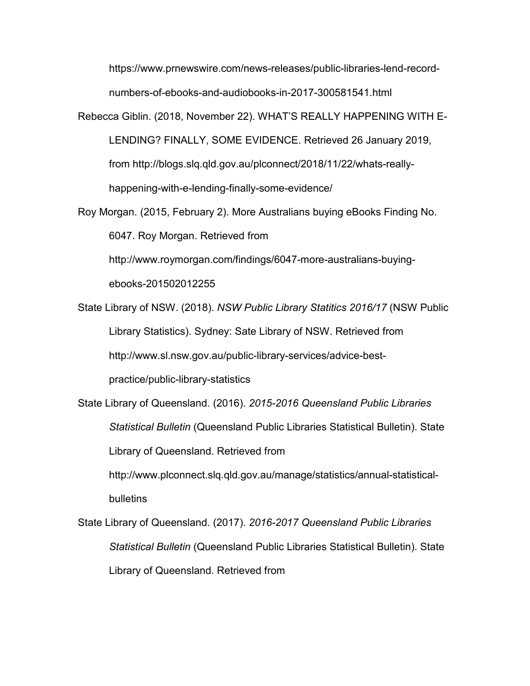https://www.prnewswire.com/news-releases/public-libraries-lend-recordnumbers-of-ebooks-and-audiobooks-in-2017-300581541.html

Rebecca Giblin. (2018, November 22). WHAT'S REALLY HAPPENING WITH E-LENDING? FINALLY, SOME EVIDENCE. Retrieved 26 January 2019, from http://blogs.slq.qld.gov.au/plconnect/2018/11/22/whats-reallyhappening-with-e-lending-finally-some-evidence/

Roy Morgan. (2015, February 2). More Australians buying eBooks Finding No. 6047. Roy Morgan. Retrieved from

http://www.roymorgan.com/findings/6047-more-australians-buying-

ebooks-201502012255

State Library of NSW. (2018). *NSW Public Library Statitics 2016/17* (NSW Public Library Statistics). Sydney: Sate Library of NSW. Retrieved from http://www.sl.nsw.gov.au/public-library-services/advice-bestpractice/public-library-statistics

State Library of Queensland. (2016). *2015-2016 Queensland Public Libraries Statistical Bulletin* (Queensland Public Libraries Statistical Bulletin). State Library of Queensland. Retrieved from

http://www.plconnect.slq.qld.gov.au/manage/statistics/annual-statisticalbulletins

State Library of Queensland. (2017). *2016-2017 Queensland Public Libraries Statistical Bulletin* (Queensland Public Libraries Statistical Bulletin). State Library of Queensland. Retrieved from